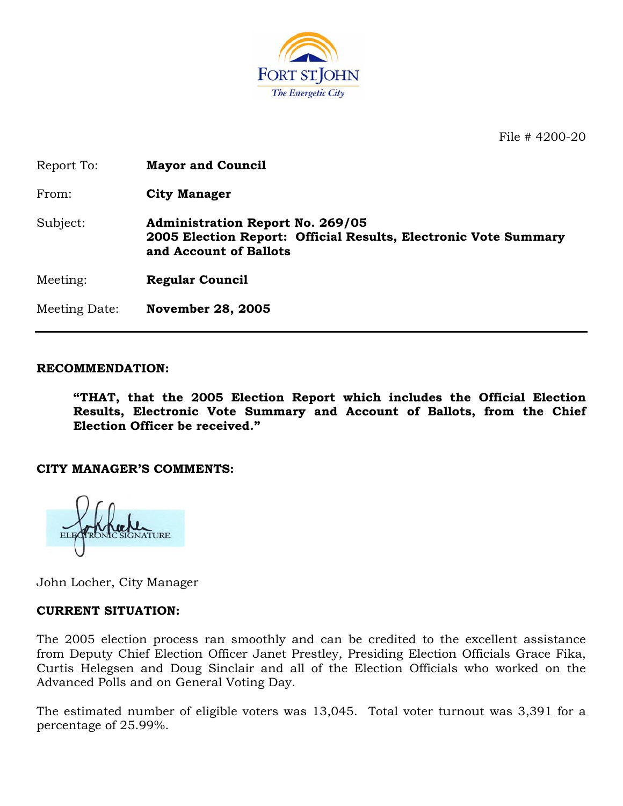

File # 4200-20

| Report To:    | <b>Mayor and Council</b>                                                                                                             |
|---------------|--------------------------------------------------------------------------------------------------------------------------------------|
| From:         | <b>City Manager</b>                                                                                                                  |
| Subject:      | <b>Administration Report No. 269/05</b><br>2005 Election Report: Official Results, Electronic Vote Summary<br>and Account of Ballots |
| Meeting:      | <b>Regular Council</b>                                                                                                               |
| Meeting Date: | <b>November 28, 2005</b>                                                                                                             |

#### **RECOMMENDATION:**

**"THAT, that the 2005 Election Report which includes the Official Election Results, Electronic Vote Summary and Account of Ballots, from the Chief Election Officer be received."** 

#### **CITY MANAGER'S COMMENTS:**

John Locher, City Manager

#### **CURRENT SITUATION:**

The 2005 election process ran smoothly and can be credited to the excellent assistance from Deputy Chief Election Officer Janet Prestley, Presiding Election Officials Grace Fika, Curtis Helegsen and Doug Sinclair and all of the Election Officials who worked on the Advanced Polls and on General Voting Day.

The estimated number of eligible voters was 13,045. Total voter turnout was 3,391 for a percentage of 25.99%.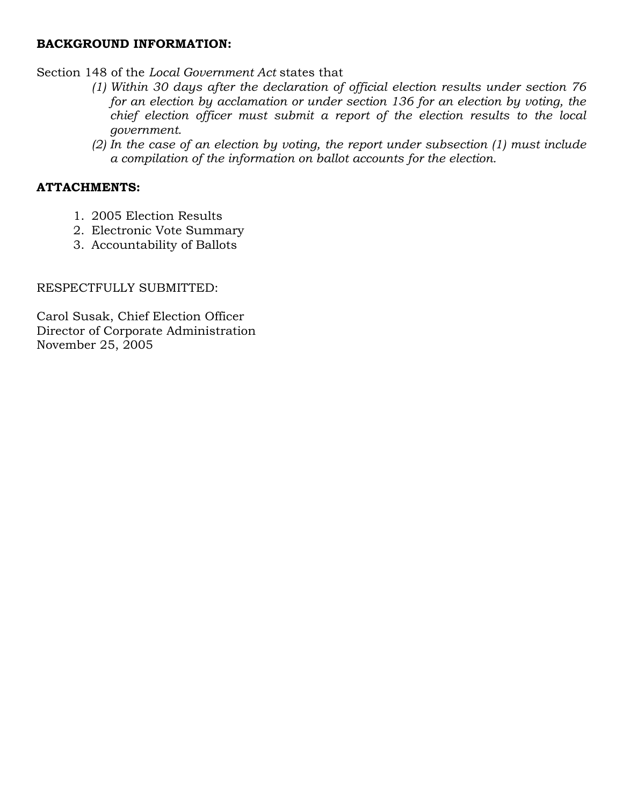## **BACKGROUND INFORMATION:**

Section 148 of the *Local Government Act* states that

- *(1) Within 30 days after the declaration of official election results under section 76 for an election by acclamation or under section 136 for an election by voting, the chief election officer must submit a report of the election results to the local government.*
- *(2) In the case of an election by voting, the report under subsection (1) must include a compilation of the information on ballot accounts for the election.*

## **ATTACHMENTS:**

- 1. 2005 Election Results
- 2. Electronic Vote Summary
- 3. Accountability of Ballots

### RESPECTFULLY SUBMITTED:

Carol Susak, Chief Election Officer Director of Corporate Administration November 25, 2005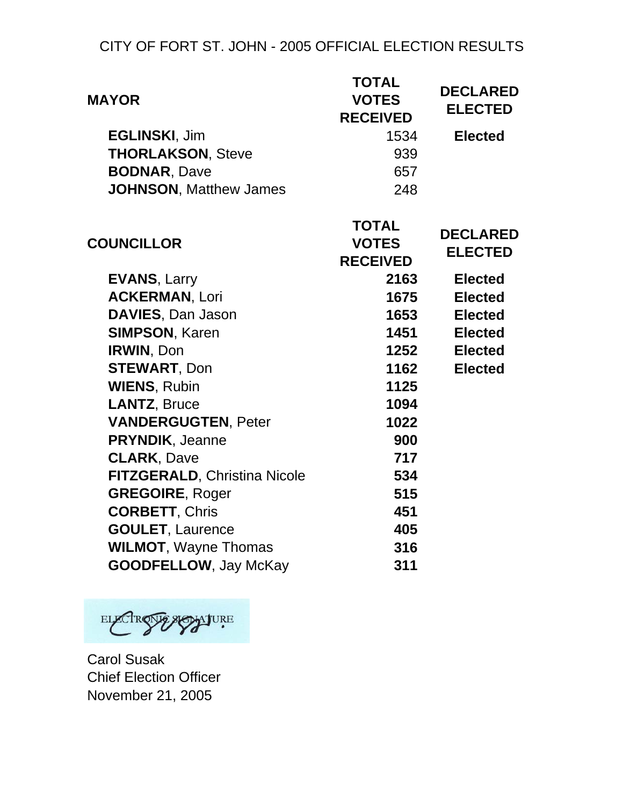# CITY OF FORT ST. JOHN - 2005 OFFICIAL ELECTION RESULTS

| <b>MAYOR</b>                        | <b>TOTAL</b><br><b>VOTES</b><br><b>RECEIVED</b> | <b>DECLARED</b><br><b>ELECTED</b> |  |
|-------------------------------------|-------------------------------------------------|-----------------------------------|--|
| <b>EGLINSKI, Jim</b>                | 1534                                            | <b>Elected</b>                    |  |
| <b>THORLAKSON, Steve</b>            | 939                                             |                                   |  |
| <b>BODNAR, Dave</b>                 | 657                                             |                                   |  |
| <b>JOHNSON, Matthew James</b>       | 248                                             |                                   |  |
| <b>COUNCILLOR</b>                   | <b>TOTAL</b><br><b>VOTES</b><br><b>RECEIVED</b> | <b>DECLARED</b><br><b>ELECTED</b> |  |
| <b>EVANS, Larry</b>                 | 2163                                            | <b>Elected</b>                    |  |
| <b>ACKERMAN, Lori</b>               | 1675                                            | <b>Elected</b>                    |  |
| DAVIES, Dan Jason                   | 1653                                            | <b>Elected</b>                    |  |
| <b>SIMPSON, Karen</b>               | 1451                                            | <b>Elected</b>                    |  |
| IRWIN, Don                          | 1252                                            | <b>Elected</b>                    |  |
| <b>STEWART, Don</b>                 | 1162                                            | <b>Elected</b>                    |  |
| <b>WIENS, Rubin</b>                 | 1125                                            |                                   |  |
| <b>LANTZ, Bruce</b>                 | 1094                                            |                                   |  |
| <b>VANDERGUGTEN, Peter</b>          | 1022                                            |                                   |  |
| <b>PRYNDIK, Jeanne</b>              | 900                                             |                                   |  |
| <b>CLARK, Dave</b>                  | 717                                             |                                   |  |
| <b>FITZGERALD, Christina Nicole</b> | 534                                             |                                   |  |
| <b>GREGOIRE, Roger</b>              | 515                                             |                                   |  |
| <b>CORBETT, Chris</b>               | 451                                             |                                   |  |
| <b>GOULET, Laurence</b>             | 405                                             |                                   |  |
| <b>WILMOT, Wayne Thomas</b>         | 316                                             |                                   |  |
| <b>GOODFELLOW, Jay McKay</b>        | 311                                             |                                   |  |

ELECTROSOF ASSITURE

Carol Susak Chief Election Officer November 21, 2005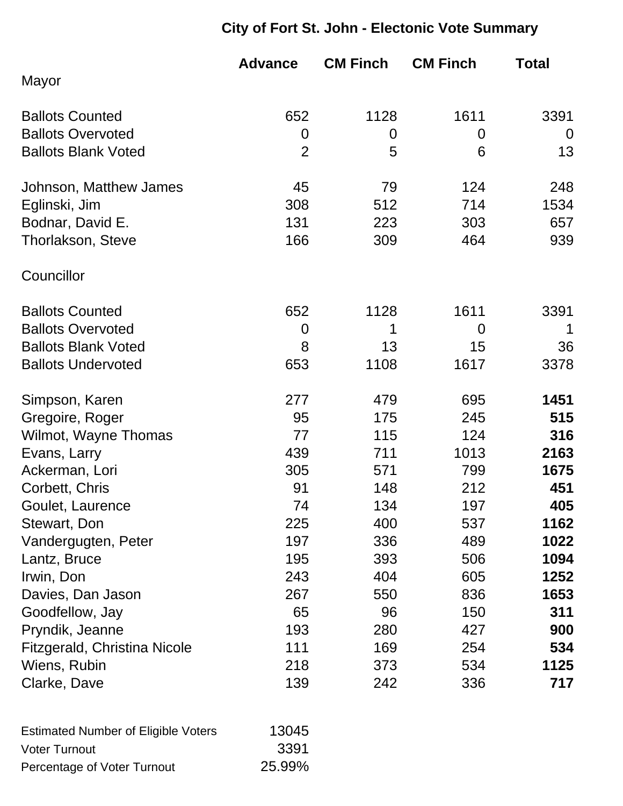# **City of Fort St. John - Electonic Vote Summary**

|                              | <b>Advance</b> | <b>CM Finch</b> | <b>CM Finch</b> | <b>Total</b>   |
|------------------------------|----------------|-----------------|-----------------|----------------|
| Mayor                        |                |                 |                 |                |
| <b>Ballots Counted</b>       | 652            | 1128            | 1611            | 3391           |
| <b>Ballots Overvoted</b>     | $\overline{0}$ | 0               | 0               | $\overline{0}$ |
| <b>Ballots Blank Voted</b>   | $\overline{2}$ | 5               | 6               | 13             |
| Johnson, Matthew James       | 45             | 79              | 124             | 248            |
| Eglinski, Jim                | 308            | 512             | 714             | 1534           |
| Bodnar, David E.             | 131            | 223             | 303             | 657            |
| <b>Thorlakson, Steve</b>     | 166            | 309             | 464             | 939            |
| Councillor                   |                |                 |                 |                |
| <b>Ballots Counted</b>       | 652            | 1128            | 1611            | 3391           |
| <b>Ballots Overvoted</b>     | $\overline{0}$ | 1               | $\overline{0}$  | 1              |
| <b>Ballots Blank Voted</b>   | 8              | 13              | 15              | 36             |
| <b>Ballots Undervoted</b>    | 653            | 1108            | 1617            | 3378           |
| Simpson, Karen               | 277            | 479             | 695             | 1451           |
| Gregoire, Roger              | 95             | 175             | 245             | 515            |
| Wilmot, Wayne Thomas         | 77             | 115             | 124             | 316            |
| Evans, Larry                 | 439            | 711             | 1013            | 2163           |
| Ackerman, Lori               | 305            | 571             | 799             | 1675           |
| Corbett, Chris               | 91             | 148             | 212             | 451            |
| Goulet, Laurence             | 74             | 134             | 197             | 405            |
| Stewart, Don                 | 225            | 400             | 537             | 1162           |
| Vandergugten, Peter          | 197            | 336             | 489             | 1022           |
| Lantz, Bruce                 | 195            | 393             | 506             | 1094           |
| Irwin, Don                   | 243            | 404             | 605             | 1252           |
| Davies, Dan Jason            | 267            | 550             | 836             | 1653           |
| Goodfellow, Jay              | 65             | 96              | 150             | 311            |
| Pryndik, Jeanne              | 193            | 280             | 427             | 900            |
| Fitzgerald, Christina Nicole | 111            | 169             | 254             | 534            |
| Wiens, Rubin                 | 218            | 373             | 534             | 1125           |
| Clarke, Dave                 | 139            | 242             | 336             | 717            |

| <b>Estimated Number of Eligible Voters</b> | 13045  |
|--------------------------------------------|--------|
| <b>Voter Turnout</b>                       | 3391   |
| Percentage of Voter Turnout                | 25.99% |